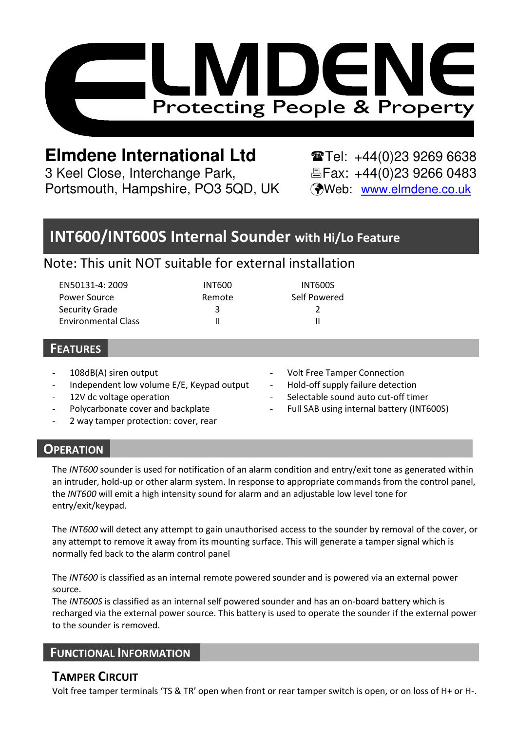

# **Elmdene International Ltd**  $\bullet$  **Tel:** +44(0)23 9269 6638

3 Keel Close, Interchange Park, Fax: +44(0)23 9266 0483 Portsmouth, Hampshire, PO3 5QD, UK (Web: www.elmdene.co.uk

## **INT600/INT600S Internal Sounder with Hi/Lo Feature**

## Note: This unit NOT suitable for external installation

| EN50131-4: 2009            | <b>INT600</b> | INT600S      |
|----------------------------|---------------|--------------|
| Power Source               | Remote        | Self Powered |
| Security Grade             |               |              |
| <b>Environmental Class</b> |               |              |

### **FEATURES**

- 108dB(A) siren output
- Independent low volume E/E, Keypad output
- 12V dc voltage operation
- Polycarbonate cover and backplate
- 2 way tamper protection: cover, rear
- Volt Free Tamper Connection
- Hold-off supply failure detection
- Selectable sound auto cut-off timer
- Full SAB using internal battery (INT600S)

## **OPERATION**

The *INT600* sounder is used for notification of an alarm condition and entry/exit tone as generated within an intruder, hold-up or other alarm system. In response to appropriate commands from the control panel, the *INT600* will emit a high intensity sound for alarm and an adjustable low level tone for entry/exit/keypad.

The *INT600* will detect any attempt to gain unauthorised access to the sounder by removal of the cover, or any attempt to remove it away from its mounting surface. This will generate a tamper signal which is normally fed back to the alarm control panel

The *INT600* is classified as an internal remote powered sounder and is powered via an external power source.

The *INT600S* is classified as an internal self powered sounder and has an on-board battery which is recharged via the external power source. This battery is used to operate the sounder if the external power to the sounder is removed.

## **FUNCTIONAL INFORMATION**

## **TAMPER CIRCUIT**

Volt free tamper terminals 'TS & TR' open when front or rear tamper switch is open, or on loss of H+ or H-.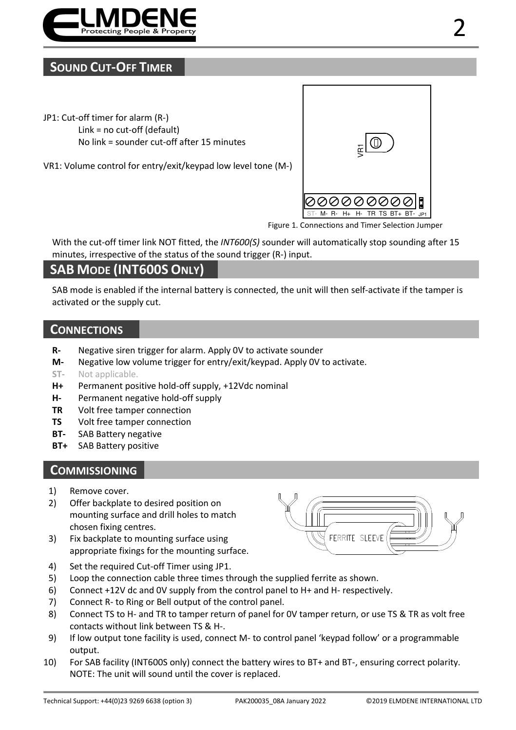

## **SOUND CUT-OFF TIMER**

- JP1: Cut-off timer for alarm (R-) Link = no cut-off (default) No link = sounder cut-off after 15 minutes
- VR1: Volume control for entry/exit/keypad low level tone (M-)



Figure 1. Connections and Timer Selection Jumper

With the cut-off timer link NOT fitted, the *INT600(S)* sounder will automatically stop sounding after 15 minutes, irrespective of the status of the sound trigger (R-) input.

## **SAB MODE (INT600S ONLY)**

SAB mode is enabled if the internal battery is connected, the unit will then self-activate if the tamper is activated or the supply cut.

#### **CONNECTIONS**

- **R-** Negative siren trigger for alarm. Apply 0V to activate sounder
- **M-** Negative low volume trigger for entry/exit/keypad. Apply 0V to activate.
- **ST-** Not applicable.
- **H+** Permanent positive hold-off supply, +12Vdc nominal
- **H-** Permanent negative hold-off supply
- **TR** Volt free tamper connection
- **TS** Volt free tamper connection
- **BT-** SAB Battery negative
- **BT+** SAB Battery positive

#### **COMMISSIONING**

- 1) Remove cover.
- 2) Offer backplate to desired position on mounting surface and drill holes to match chosen fixing centres.
- 3) Fix backplate to mounting surface using appropriate fixings for the mounting surface.



- 4) Set the required Cut-off Timer using JP1.
- 5) Loop the connection cable three times through the supplied ferrite as shown.
- 6) Connect +12V dc and 0V supply from the control panel to H+ and H- respectively.
- 7) Connect R- to Ring or Bell output of the control panel.
- 8) Connect TS to H- and TR to tamper return of panel for 0V tamper return, or use TS & TR as volt free contacts without link between TS & H-.
- 9) If low output tone facility is used, connect M- to control panel 'keypad follow' or a programmable output.
- 10) For SAB facility (INT600S only) connect the battery wires to BT+ and BT-, ensuring correct polarity. NOTE: The unit will sound until the cover is replaced.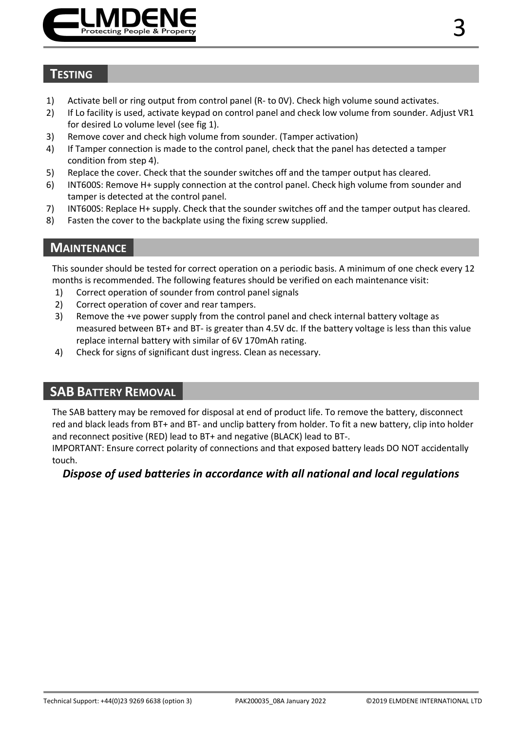

## **TESTING**

- 1) Activate bell or ring output from control panel (R- to 0V). Check high volume sound activates.
- 2) If Lo facility is used, activate keypad on control panel and check low volume from sounder. Adjust VR1 for desired Lo volume level (see fig 1).
- 3) Remove cover and check high volume from sounder. (Tamper activation)
- 4) If Tamper connection is made to the control panel, check that the panel has detected a tamper condition from step 4).
- 5) Replace the cover. Check that the sounder switches off and the tamper output has cleared.
- 6) INT600S: Remove H+ supply connection at the control panel. Check high volume from sounder and tamper is detected at the control panel.
- 7) INT600S: Replace H+ supply. Check that the sounder switches off and the tamper output has cleared.
- 8) Fasten the cover to the backplate using the fixing screw supplied.

### **MAINTENANCE**

This sounder should be tested for correct operation on a periodic basis. A minimum of one check every 12 months is recommended. The following features should be verified on each maintenance visit:

- 1) Correct operation of sounder from control panel signals
- 2) Correct operation of cover and rear tampers.
- 3) Remove the +ve power supply from the control panel and check internal battery voltage as measured between BT+ and BT- is greater than 4.5V dc. If the battery voltage is less than this value replace internal battery with similar of 6V 170mAh rating.
- 4) Check for signs of significant dust ingress. Clean as necessary.

## **SAB BATTERY REMOVAL**

The SAB battery may be removed for disposal at end of product life. To remove the battery, disconnect red and black leads from BT+ and BT- and unclip battery from holder. To fit a new battery, clip into holder and reconnect positive (RED) lead to BT+ and negative (BLACK) lead to BT-.

IMPORTANT: Ensure correct polarity of connections and that exposed battery leads DO NOT accidentally touch.

#### *Dispose of used batteries in accordance with all national and local regulations*